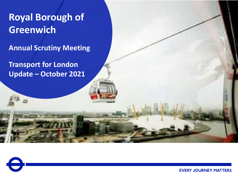#### Royal Borough of **Royal Borough of**  Greenwich Scruting **CITWI Greenwich**

 $T_{\rm eff}$   $T_{\rm eff}$   $T_{\rm eff}$   $T_{\rm eff}$   $T_{\rm eff}$ **Annual Scrutiny Meeting**

**Transport for London Update – October 2021**

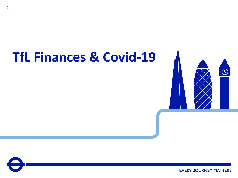# **TfL Finances & Covid-19**



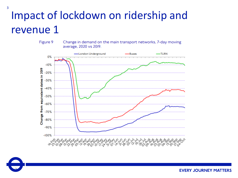## Impact of lockdown on ridership and revenue 1



Change in demand on the main transport networks, 7-day moving average, 2020 vs 2019.



3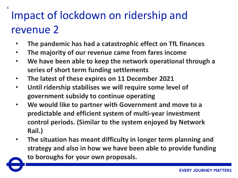## Impact of lockdown on ridership and revenue 2

- **The pandemic has had a catastrophic effect on TfL finances**
- **The majority of our revenue came from fares income**
- **We have been able to keep the network operational through a series of short term funding settlements**
- **The latest of these expires on 11 December 2021**
- **Until ridership stabilises we will require some level of government subsidy to continue operating**
- **We would like to partner with Government and move to a predictable and efficient system of multi-year investment control periods. (Similar to the system enjoyed by Network Rail.)**
- **The situation has meant difficulty in longer term planning and strategy and also in how we have been able to provide funding to boroughs for your own proposals.**

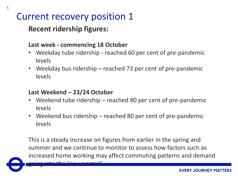### Current recovery position 1

#### **Recent ridership figures:**

#### **Last week - commencing 18 October**

- Weekday tube ridership reached 60 per cent of pre-pandemic levels
- Weekday bus ridership reached 73 per cent of pre-pandemic levels

#### **Last Weekend – 23/24 October**

- Weekend tube ridership reached 80 per cent of pre-pandemic levels
- Weekend bus ridership reached 80 per cent of pre-pandemic levels

This is a steady increase on figures from earlier in the spring and summer and we continue to monitor to assess how factors such as increased home working may affect commuting patterns and demand going into the 'new normal'.

5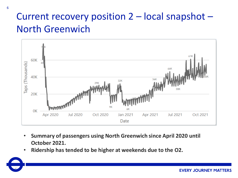### Current recovery position 2 – local snapshot – North Greenwich



- **Summary of passengers using North Greenwich since April 2020 until October 2021.**
- **Ridership has tended to be higher at weekends due to the O2.**

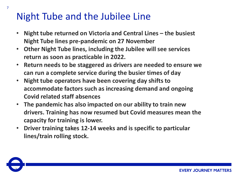### Night Tube and the Jubilee Line

- **Night tube returned on Victoria and Central Lines – the busiest Night Tube lines pre-pandemic on 27 November**
- **Other Night Tube lines, including the Jubilee will see services return as soon as practicable in 2022.**
- **Return needs to be staggered as drivers are needed to ensure we can run a complete service during the busier times of day**
- **Night tube operators have been covering day shifts to accommodate factors such as increasing demand and ongoing Covid related staff absences**
- **The pandemic has also impacted on our ability to train new drivers. Training has now resumed but Covid measures mean the capacity for training is lower.**
- **Driver training takes 12-14 weeks and is specific to particular lines/train rolling stock.**

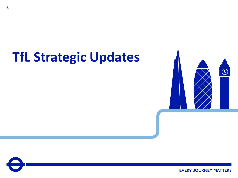# **TfL Strategic Updates**



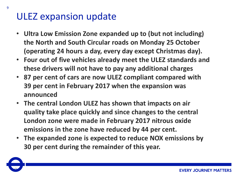#### ULEZ expansion update

- **Ultra Low Emission Zone expanded up to (but not including) the North and South Circular roads on Monday 25 October (operating 24 hours a day, every day except Christmas day).**
- **Four out of five vehicles already meet the ULEZ standards and these drivers will not have to pay any additional charges**
- **87 per cent of cars are now ULEZ compliant compared with 39 per cent in February 2017 when the expansion was announced**
- **The central London ULEZ has shown that impacts on air quality take place quickly and since changes to the central London zone were made in February 2017 nitrous oxide emissions in the zone have reduced by 44 per cent.**
- **The expanded zone is expected to reduce NOX emissions by 30 per cent during the remainder of this year.**

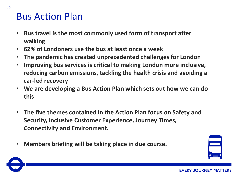#### Bus Action Plan

- **Bus travel is the most commonly used form of transport after walking**
- **62% of Londoners use the bus at least once a week**
- **The pandemic has created unprecedented challenges for London**
- **Improving bus services is critical to making London more inclusive, reducing carbon emissions, tackling the health crisis and avoiding a car-led recovery**
- **We are developing a Bus Action Plan which sets out how we can do this**
- **The five themes contained in the Action Plan focus on Safety and Security, Inclusive Customer Experience, Journey Times, Connectivity and Environment.**
- **Members briefing will be taking place in due course.**



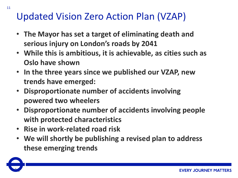### Updated Vision Zero Action Plan (VZAP)

- **The Mayor has set a target of eliminating death and serious injury on London's roads by 2041**
- **While this is ambitious, it is achievable, as cities such as Oslo have shown**
- **In the three years since we published our VZAP, new trends have emerged:**
- **Disproportionate number of accidents involving powered two wheelers**
- **Disproportionate number of accidents involving people with protected characteristics**
- **Rise in work-related road risk**
- **We will shortly be publishing a revised plan to address these emerging trends**

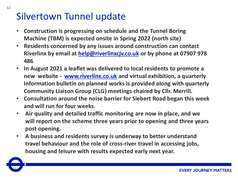### Silvertown Tunnel update

- **Construction is progressing on schedule and the Tunnel Boring Machine (TBM) is expected onsite in Spring 2022 (north site)**
- **Residents concerned by any issues around construction can contact Riverlinx by email at [help@riverlinxcjv.co.uk](mailto:help@riverlinxcjv.co.uk) or by phone at 07907 978 486**
- **In August 2021 a leaflet was delivered to local residents to promote a new website - [www.riverlinx.co.uk](http://www.riverlinx.co.uk/) and virtual exhibition, a quarterly Information bulletin on planned works is provided along with quarterly Community Liaison Group (CLG) meetings chaired by Cllr. Merrill.**
- **Consultation around the noise barrier for Siebert Road began this week and will run for four weeks.**
- **Air quality and detailed traffic monitoring are now in place, and we will report on the scheme three years prior to opening and three years post opening.**
- **A business and residents survey is underway to better understand travel behaviour and the role of cross-river travel in accessing jobs, housing and leisure with results expected early next year.**

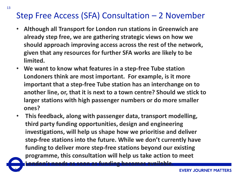#### Step Free Access (SFA) Consultation – 2 November

- **Although all Transport for London run stations in Greenwich are already step free, we are gathering strategic views on how we should approach improving access across the rest of the network, given that any resources for further SFA works are likely to be limited.**
- **We want to know what features in a step-free Tube station Londoners think are most important. For example, is it more important that a step-free Tube station has an interchange on to another line, or, that it is next to a town centre? Should we stick to larger stations with high passenger numbers or do more smaller ones?**
- **This feedback, along with passenger data, transport modelling, third party funding opportunities, design and engineering investigations, will help us shape how we prioritise and deliver step-free stations into the future. While we don't currently have funding to deliver more step-free stations beyond our existing programme, this consultation will help us take action to meet**

**London's needs as soon as funding becomes available.**

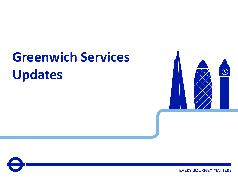# **Greenwich Services Updates**



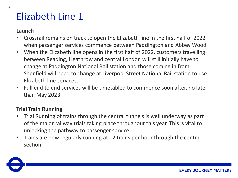### Elizabeth Line 1

#### **Launch**

- Crossrail remains on track to open the Elizabeth line in the first half of 2022 when passenger services commence between Paddington and Abbey Wood
- When the Elizabeth line opens in the first half of 2022, customers travelling between Reading, Heathrow and central London will still initially have to change at Paddington National Rail station and those coming in from Shenfield will need to change at Liverpool Street National Rail station to use Elizabeth line services.
- Full end to end services will be timetabled to commence soon after, no later than May 2023.

#### **Trial Train Running**

- Trial Running of trains through the central tunnels is well underway as part of the major railway trials taking place throughout this year. This is vital to unlocking the pathway to passenger service.
- Trains are now regularly running at 12 trains per hour through the central section.

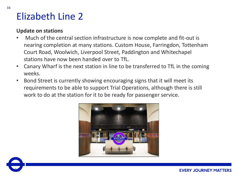#### Elizabeth Line 2

#### **Update on stations**

- Much of the central section infrastructure is now complete and fit-out is nearing completion at many stations. Custom House, Farringdon, Tottenham Court Road, Woolwich, Liverpool Street, Paddington and Whitechapel stations have now been handed over to TfL.
- Canary Wharf is the next station in line to be transferred to TfL in the coming weeks.
- Bond Street is currently showing encouraging signs that it will meet its requirements to be able to support Trial Operations, although there is still work to do at the station for it to be ready for passenger service.



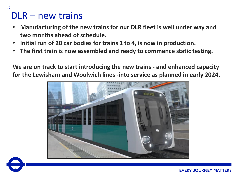#### DLR – new trains

- **Manufacturing of the new trains for our DLR fleet is well under way and two months ahead of schedule.**
- **Initial run of 20 car bodies for trains 1 to 4, is now in production.**
- **The first train is now assembled and ready to commence static testing.**

**We are on track to start introducing the new trains - and enhanced capacity for the Lewisham and Woolwich lines -into service as planned in early 2024.**

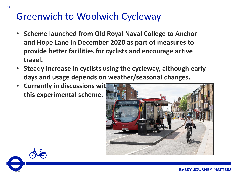### Greenwich to Woolwich Cycleway

- **Scheme launched from Old Royal Naval College to Anchor and Hope Lane in December 2020 as part of measures to provide better facilities for cyclists and encourage active travel.**
- **Steady increase in cyclists using the cycleway, although early days and usage depends on weather/seasonal changes.**
- **Currently in discussions wit this experimental scheme.**



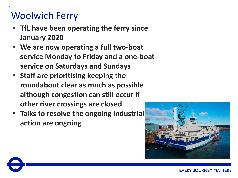## Woolwich Ferry

- **TfL have been operating the ferry since January 2020**
- **We are now operating a full two-boat service Monday to Friday and a one-boat service on Saturdays and Sundays**
- **Staff are prioritising keeping the roundabout clear as much as possible although congestion can still occur if other river crossings are closed**
- **Talks to resolve the ongoing industrial action are ongoing**